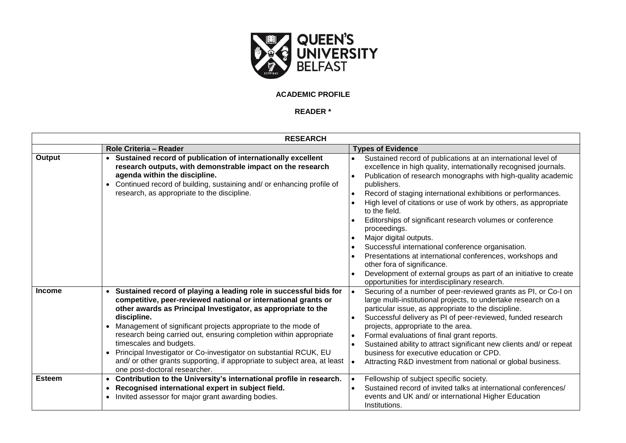

## **ACADEMIC PROFILE**

## **READER \***

| <b>RESEARCH</b> |                                                                                                                                                                                                                                                                                                                                                                                                                                                                                                                                                                                                      |                                                                                                                                                                                                                                                                                                                                                                                                                                                                                                                                                                                                                                                                                                                                                                                |
|-----------------|------------------------------------------------------------------------------------------------------------------------------------------------------------------------------------------------------------------------------------------------------------------------------------------------------------------------------------------------------------------------------------------------------------------------------------------------------------------------------------------------------------------------------------------------------------------------------------------------------|--------------------------------------------------------------------------------------------------------------------------------------------------------------------------------------------------------------------------------------------------------------------------------------------------------------------------------------------------------------------------------------------------------------------------------------------------------------------------------------------------------------------------------------------------------------------------------------------------------------------------------------------------------------------------------------------------------------------------------------------------------------------------------|
|                 | Role Criteria - Reader                                                                                                                                                                                                                                                                                                                                                                                                                                                                                                                                                                               | <b>Types of Evidence</b>                                                                                                                                                                                                                                                                                                                                                                                                                                                                                                                                                                                                                                                                                                                                                       |
| Output          | • Sustained record of publication of internationally excellent<br>research outputs, with demonstrable impact on the research<br>agenda within the discipline.<br>Continued record of building, sustaining and/ or enhancing profile of<br>research, as appropriate to the discipline.                                                                                                                                                                                                                                                                                                                | Sustained record of publications at an international level of<br>excellence in high quality, internationally recognised journals.<br>Publication of research monographs with high-quality academic<br>$\bullet$<br>publishers.<br>Record of staging international exhibitions or performances.<br>$\bullet$<br>High level of citations or use of work by others, as appropriate<br>to the field.<br>Editorships of significant research volumes or conference<br>proceedings.<br>Major digital outputs.<br>Successful international conference organisation.<br>Presentations at international conferences, workshops and<br>other fora of significance.<br>Development of external groups as part of an initiative to create<br>opportunities for interdisciplinary research. |
| <b>Income</b>   | • Sustained record of playing a leading role in successful bids for<br>competitive, peer-reviewed national or international grants or<br>other awards as Principal Investigator, as appropriate to the<br>discipline.<br>Management of significant projects appropriate to the mode of<br>$\bullet$<br>research being carried out, ensuring completion within appropriate<br>timescales and budgets.<br>Principal Investigator or Co-investigator on substantial RCUK, EU<br>$\bullet$<br>and/ or other grants supporting, if appropriate to subject area, at least<br>one post-doctoral researcher. | Securing of a number of peer-reviewed grants as PI, or Co-I on<br>$\bullet$<br>large multi-institutional projects, to undertake research on a<br>particular issue, as appropriate to the discipline.<br>Successful delivery as PI of peer-reviewed, funded research<br>projects, appropriate to the area.<br>Formal evaluations of final grant reports.<br>Sustained ability to attract significant new clients and/ or repeat<br>business for executive education or CPD.<br>Attracting R&D investment from national or global business.                                                                                                                                                                                                                                      |
| <b>Esteem</b>   | • Contribution to the University's international profile in research.<br>Recognised international expert in subject field.<br>$\bullet$<br>Invited assessor for major grant awarding bodies.                                                                                                                                                                                                                                                                                                                                                                                                         | Fellowship of subject specific society.<br>$\bullet$<br>Sustained record of invited talks at international conferences/<br>events and UK and/ or international Higher Education<br>Institutions.                                                                                                                                                                                                                                                                                                                                                                                                                                                                                                                                                                               |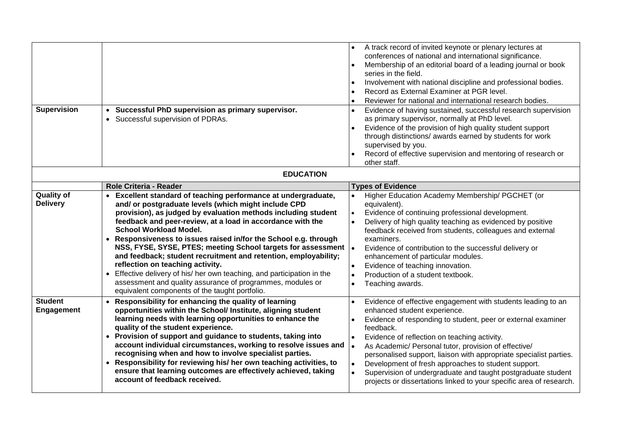| <b>Supervision</b>                   | Successful PhD supervision as primary supervisor.<br>$\bullet$<br>• Successful supervision of PDRAs.                                                                                                                                                                                                                                                                                                                                                                                                                                                                                                                                                                                                                                     | A track record of invited keynote or plenary lectures at<br>conferences of national and international significance.<br>Membership of an editorial board of a leading journal or book<br>series in the field.<br>Involvement with national discipline and professional bodies.<br>Record as External Examiner at PGR level.<br>Reviewer for national and international research bodies.<br>Evidence of having sustained, successful research supervision<br>as primary supervisor, normally at PhD level.<br>Evidence of the provision of high quality student support<br>through distinctions/ awards earned by students for work<br>supervised by you.<br>Record of effective supervision and mentoring of research or<br>other staff. |  |  |
|--------------------------------------|------------------------------------------------------------------------------------------------------------------------------------------------------------------------------------------------------------------------------------------------------------------------------------------------------------------------------------------------------------------------------------------------------------------------------------------------------------------------------------------------------------------------------------------------------------------------------------------------------------------------------------------------------------------------------------------------------------------------------------------|-----------------------------------------------------------------------------------------------------------------------------------------------------------------------------------------------------------------------------------------------------------------------------------------------------------------------------------------------------------------------------------------------------------------------------------------------------------------------------------------------------------------------------------------------------------------------------------------------------------------------------------------------------------------------------------------------------------------------------------------|--|--|
| <b>EDUCATION</b>                     |                                                                                                                                                                                                                                                                                                                                                                                                                                                                                                                                                                                                                                                                                                                                          |                                                                                                                                                                                                                                                                                                                                                                                                                                                                                                                                                                                                                                                                                                                                         |  |  |
|                                      | Role Criteria - Reader                                                                                                                                                                                                                                                                                                                                                                                                                                                                                                                                                                                                                                                                                                                   | <b>Types of Evidence</b>                                                                                                                                                                                                                                                                                                                                                                                                                                                                                                                                                                                                                                                                                                                |  |  |
| <b>Quality of</b><br><b>Delivery</b> | Excellent standard of teaching performance at undergraduate,<br>and/ or postgraduate levels (which might include CPD<br>provision), as judged by evaluation methods including student<br>feedback and peer-review, at a load in accordance with the<br><b>School Workload Model.</b><br>• Responsiveness to issues raised in/for the School e.g. through<br>NSS, FYSE, SYSE, PTES; meeting School targets for assessment  .<br>and feedback; student recruitment and retention, employability;<br>reflection on teaching activity.<br>Effective delivery of his/ her own teaching, and participation in the<br>$\bullet$<br>assessment and quality assurance of programmes, modules or<br>equivalent components of the taught portfolio. | Higher Education Academy Membership/ PGCHET (or<br>equivalent).<br>Evidence of continuing professional development.<br>Delivery of high quality teaching as evidenced by positive<br>feedback received from students, colleagues and external<br>examiners.<br>Evidence of contribution to the successful delivery or<br>enhancement of particular modules.<br>Evidence of teaching innovation.<br>Production of a student textbook.<br>Teaching awards.<br>$\bullet$                                                                                                                                                                                                                                                                   |  |  |
| <b>Student</b><br>Engagement         | Responsibility for enhancing the quality of learning<br>$\bullet$<br>opportunities within the School/ Institute, aligning student<br>learning needs with learning opportunities to enhance the<br>quality of the student experience.<br>• Provision of support and guidance to students, taking into<br>account individual circumstances, working to resolve issues and<br>recognising when and how to involve specialist parties.<br>• Responsibility for reviewing his/ her own teaching activities, to<br>ensure that learning outcomes are effectively achieved, taking<br>account of feedback received.                                                                                                                             | Evidence of effective engagement with students leading to an<br>enhanced student experience.<br>Evidence of responding to student, peer or external examiner<br>feedback.<br>Evidence of reflection on teaching activity.<br>$\bullet$<br>As Academic/ Personal tutor, provision of effective/<br>personalised support, liaison with appropriate specialist parties.<br>Development of fresh approaches to student support.<br>Supervision of undergraduate and taught postgraduate student<br>projects or dissertations linked to your specific area of research.                                                                                                                                                                      |  |  |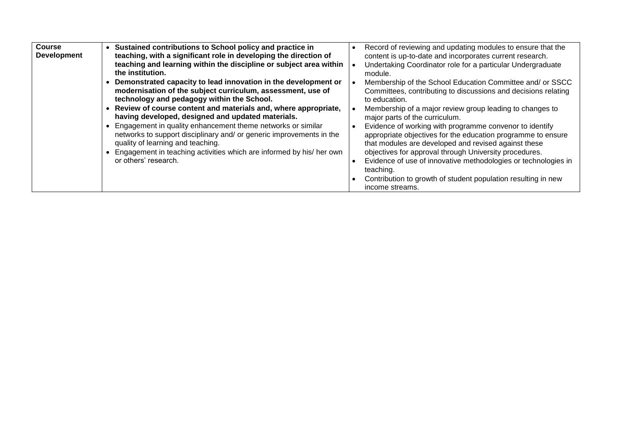| <b>Course</b>      | Sustained contributions to School policy and practice in             | Record of reviewing and updating modules to ensure that the    |
|--------------------|----------------------------------------------------------------------|----------------------------------------------------------------|
| <b>Development</b> | teaching, with a significant role in developing the direction of     | content is up-to-date and incorporates current research.       |
|                    | teaching and learning within the discipline or subject area within   | Undertaking Coordinator role for a particular Undergraduate    |
|                    | the institution.                                                     | module.                                                        |
|                    | Demonstrated capacity to lead innovation in the development or       | Membership of the School Education Committee and/ or SSCC      |
|                    | modernisation of the subject curriculum, assessment, use of          | Committees, contributing to discussions and decisions relating |
|                    | technology and pedagogy within the School.                           | to education.                                                  |
|                    | Review of course content and materials and, where appropriate,       | Membership of a major review group leading to changes to       |
|                    | having developed, designed and updated materials.                    | major parts of the curriculum.                                 |
|                    | Engagement in quality enhancement theme networks or similar          | Evidence of working with programme convenor to identify        |
|                    | networks to support disciplinary and/ or generic improvements in the | appropriate objectives for the education programme to ensure   |
|                    | quality of learning and teaching.                                    | that modules are developed and revised against these           |
|                    | Engagement in teaching activities which are informed by his/ her own | objectives for approval through University procedures.         |
|                    | or others' research.                                                 | Evidence of use of innovative methodologies or technologies in |
|                    |                                                                      | teaching.                                                      |
|                    |                                                                      | Contribution to growth of student population resulting in new  |
|                    |                                                                      | income streams.                                                |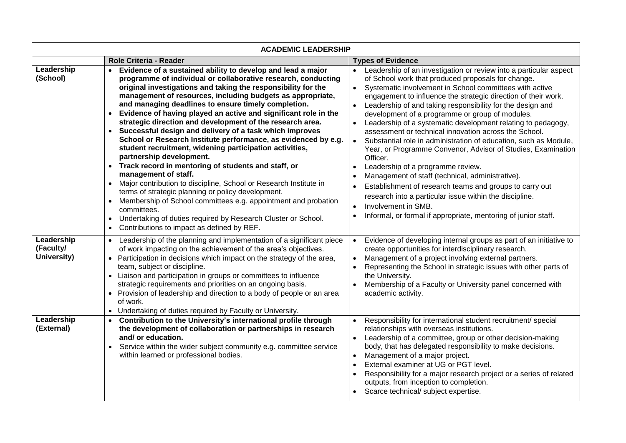| <b>ACADEMIC LEADERSHIP</b>             |                                                                                                                                                                                                                                                                                                                                                                                                                                                                                                                                                                                                                                                                                                                                                                                                                                                                                                                                                                                                                                                                                                                                                                |                                                                                                                                                                                                                                                                                                                                                                                                                                                                                                                                                                                                                                                                                                                                                                                                                                                                                                                                                                                                                                                   |
|----------------------------------------|----------------------------------------------------------------------------------------------------------------------------------------------------------------------------------------------------------------------------------------------------------------------------------------------------------------------------------------------------------------------------------------------------------------------------------------------------------------------------------------------------------------------------------------------------------------------------------------------------------------------------------------------------------------------------------------------------------------------------------------------------------------------------------------------------------------------------------------------------------------------------------------------------------------------------------------------------------------------------------------------------------------------------------------------------------------------------------------------------------------------------------------------------------------|---------------------------------------------------------------------------------------------------------------------------------------------------------------------------------------------------------------------------------------------------------------------------------------------------------------------------------------------------------------------------------------------------------------------------------------------------------------------------------------------------------------------------------------------------------------------------------------------------------------------------------------------------------------------------------------------------------------------------------------------------------------------------------------------------------------------------------------------------------------------------------------------------------------------------------------------------------------------------------------------------------------------------------------------------|
|                                        | Role Criteria - Reader                                                                                                                                                                                                                                                                                                                                                                                                                                                                                                                                                                                                                                                                                                                                                                                                                                                                                                                                                                                                                                                                                                                                         | <b>Types of Evidence</b>                                                                                                                                                                                                                                                                                                                                                                                                                                                                                                                                                                                                                                                                                                                                                                                                                                                                                                                                                                                                                          |
| Leadership<br>(School)                 | Evidence of a sustained ability to develop and lead a major<br>programme of individual or collaborative research, conducting<br>original investigations and taking the responsibility for the<br>management of resources, including budgets as appropriate,<br>and managing deadlines to ensure timely completion.<br>Evidence of having played an active and significant role in the<br>strategic direction and development of the research area.<br>Successful design and delivery of a task which improves<br>$\bullet$<br>School or Research Institute performance, as evidenced by e.g.<br>student recruitment, widening participation activities,<br>partnership development.<br>Track record in mentoring of students and staff, or<br>$\bullet$<br>management of staff.<br>Major contribution to discipline, School or Research Institute in<br>$\bullet$<br>terms of strategic planning or policy development.<br>Membership of School committees e.g. appointment and probation<br>$\bullet$<br>committees.<br>Undertaking of duties required by Research Cluster or School.<br>$\bullet$<br>Contributions to impact as defined by REF.<br>$\bullet$ | Leadership of an investigation or review into a particular aspect<br>of School work that produced proposals for change.<br>Systematic involvement in School committees with active<br>$\bullet$<br>engagement to influence the strategic direction of their work.<br>Leadership of and taking responsibility for the design and<br>$\bullet$<br>development of a programme or group of modules.<br>Leadership of a systematic development relating to pedagogy,<br>$\bullet$<br>assessment or technical innovation across the School.<br>Substantial role in administration of education, such as Module,<br>$\bullet$<br>Year, or Programme Convenor, Advisor of Studies, Examination<br>Officer.<br>Leadership of a programme review.<br>$\bullet$<br>Management of staff (technical, administrative).<br>Establishment of research teams and groups to carry out<br>$\bullet$<br>research into a particular issue within the discipline.<br>Involvement in SMB.<br>$\bullet$<br>Informal, or formal if appropriate, mentoring of junior staff. |
| Leadership<br>(Faculty/<br>University) | Leadership of the planning and implementation of a significant piece<br>of work impacting on the achievement of the area's objectives.<br>Participation in decisions which impact on the strategy of the area,<br>$\bullet$<br>team, subject or discipline.<br>Liaison and participation in groups or committees to influence<br>$\bullet$<br>strategic requirements and priorities on an ongoing basis.<br>• Provision of leadership and direction to a body of people or an area<br>of work.<br>• Undertaking of duties required by Faculty or University.                                                                                                                                                                                                                                                                                                                                                                                                                                                                                                                                                                                                   | Evidence of developing internal groups as part of an initiative to<br>$\bullet$<br>create opportunities for interdisciplinary research.<br>Management of a project involving external partners.<br>$\bullet$<br>Representing the School in strategic issues with other parts of<br>the University.<br>Membership of a Faculty or University panel concerned with<br>$\bullet$<br>academic activity.                                                                                                                                                                                                                                                                                                                                                                                                                                                                                                                                                                                                                                               |
| Leadership<br>(External)               | Contribution to the University's international profile through<br>$\bullet$<br>the development of collaboration or partnerships in research<br>and/or education.<br>Service within the wider subject community e.g. committee service<br>$\bullet$<br>within learned or professional bodies.                                                                                                                                                                                                                                                                                                                                                                                                                                                                                                                                                                                                                                                                                                                                                                                                                                                                   | Responsibility for international student recruitment/ special<br>$\bullet$<br>relationships with overseas institutions.<br>Leadership of a committee, group or other decision-making<br>$\bullet$<br>body, that has delegated responsibility to make decisions.<br>Management of a major project.<br>$\bullet$<br>External examiner at UG or PGT level.<br>$\bullet$<br>Responsibility for a major research project or a series of related<br>outputs, from inception to completion.<br>Scarce technical/ subject expertise.                                                                                                                                                                                                                                                                                                                                                                                                                                                                                                                      |